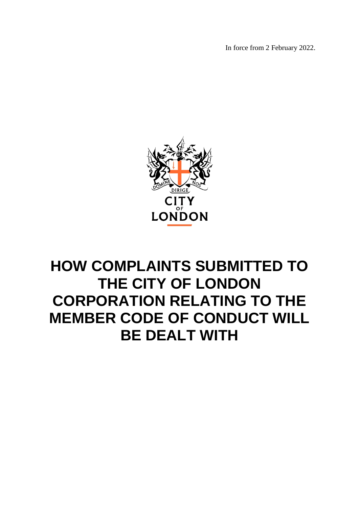In force from 2 February 2022.



# **HOW COMPLAINTS SUBMITTED TO THE CITY OF LONDON CORPORATION RELATING TO THE MEMBER CODE OF CONDUCT WILL BE DEALT WITH**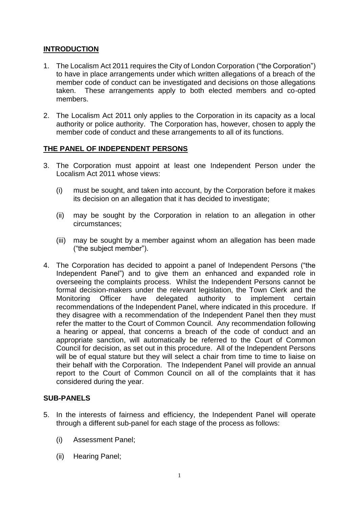# **INTRODUCTION**

- 1. The Localism Act 2011 requires the City of London Corporation ("the Corporation") to have in place arrangements under which written allegations of a breach of the member code of conduct can be investigated and decisions on those allegations taken. These arrangements apply to both elected members and co-opted members.
- 2. The Localism Act 2011 only applies to the Corporation in its capacity as a local authority or police authority. The Corporation has, however, chosen to apply the member code of conduct and these arrangements to all of its functions.

# **THE PANEL OF INDEPENDENT PERSONS**

- 3. The Corporation must appoint at least one Independent Person under the Localism Act 2011 whose views:
	- (i) must be sought, and taken into account, by the Corporation before it makes its decision on an allegation that it has decided to investigate;
	- (ii) may be sought by the Corporation in relation to an allegation in other circumstances;
	- (iii) may be sought by a member against whom an allegation has been made ("the subject member").
- 4. The Corporation has decided to appoint a panel of Independent Persons ("the Independent Panel") and to give them an enhanced and expanded role in overseeing the complaints process. Whilst the Independent Persons cannot be formal decision-makers under the relevant legislation, the Town Clerk and the Monitoring Officer have delegated authority to implement certain recommendations of the Independent Panel, where indicated in this procedure. If they disagree with a recommendation of the Independent Panel then they must refer the matter to the Court of Common Council. Any recommendation following a hearing or appeal, that concerns a breach of the code of conduct and an appropriate sanction, will automatically be referred to the Court of Common Council for decision, as set out in this procedure. All of the Independent Persons will be of equal stature but they will select a chair from time to time to liaise on their behalf with the Corporation. The Independent Panel will provide an annual report to the Court of Common Council on all of the complaints that it has considered during the year.

# **SUB-PANELS**

- 5. In the interests of fairness and efficiency, the Independent Panel will operate through a different sub-panel for each stage of the process as follows:
	- (i) Assessment Panel;
	- (ii) Hearing Panel;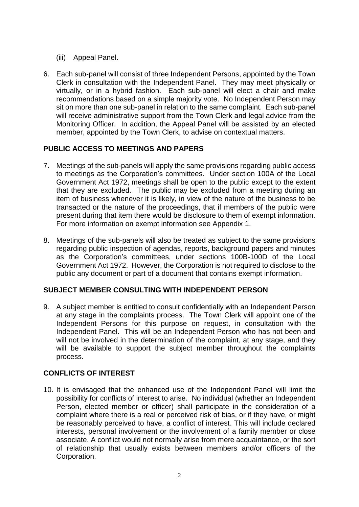- (iii) Appeal Panel.
- 6. Each sub-panel will consist of three Independent Persons, appointed by the Town Clerk in consultation with the Independent Panel. They may meet physically or virtually, or in a hybrid fashion. Each sub-panel will elect a chair and make recommendations based on a simple majority vote. No Independent Person may sit on more than one sub-panel in relation to the same complaint. Each sub-panel will receive administrative support from the Town Clerk and legal advice from the Monitoring Officer. In addition, the Appeal Panel will be assisted by an elected member, appointed by the Town Clerk, to advise on contextual matters.

# **PUBLIC ACCESS TO MEETINGS AND PAPERS**

- 7. Meetings of the sub-panels will apply the same provisions regarding public access to meetings as the Corporation's committees. Under section 100A of the Local Government Act 1972, meetings shall be open to the public except to the extent that they are excluded. The public may be excluded from a meeting during an item of business whenever it is likely, in view of the nature of the business to be transacted or the nature of the proceedings, that if members of the public were present during that item there would be disclosure to them of exempt information. For more information on exempt information see Appendix 1.
- 8. Meetings of the sub-panels will also be treated as subject to the same provisions regarding public inspection of agendas, reports, background papers and minutes as the Corporation's committees, under sections 100B-100D of the Local Government Act 1972. However, the Corporation is not required to disclose to the public any document or part of a document that contains exempt information.

# **SUBJECT MEMBER CONSULTING WITH INDEPENDENT PERSON**

9. A subject member is entitled to consult confidentially with an Independent Person at any stage in the complaints process. The Town Clerk will appoint one of the Independent Persons for this purpose on request, in consultation with the Independent Panel. This will be an Independent Person who has not been and will not be involved in the determination of the complaint, at any stage, and they will be available to support the subject member throughout the complaints process.

# **CONFLICTS OF INTEREST**

10. It is envisaged that the enhanced use of the Independent Panel will limit the possibility for conflicts of interest to arise. No individual (whether an Independent Person, elected member or officer) shall participate in the consideration of a complaint where there is a real or perceived risk of bias, or if they have, or might be reasonably perceived to have, a conflict of interest. This will include declared interests, personal involvement or the involvement of a family member or close associate. A conflict would not normally arise from mere acquaintance, or the sort of relationship that usually exists between members and/or officers of the Corporation.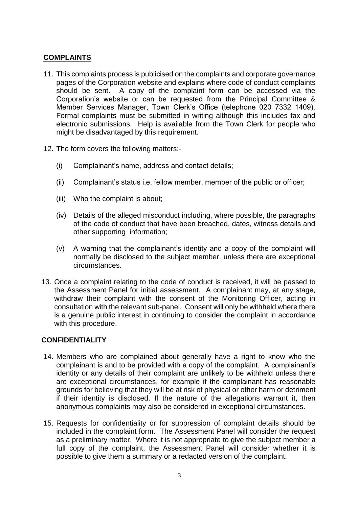# **COMPLAINTS**

- 11. This complaints process is publicised on the complaints and corporate governance pages of the Corporation website and explains where code of conduct complaints should be sent. A copy of the complaint form can be accessed via the Corporation's website or can be requested from the Principal Committee & Member Services Manager, Town Clerk's Office (telephone 020 7332 1409). Formal complaints must be submitted in writing although this includes fax and electronic submissions. Help is available from the Town Clerk for people who might be disadvantaged by this requirement.
- 12. The form covers the following matters:-
	- (i) Complainant's name, address and contact details;
	- (ii) Complainant's status i.e. fellow member, member of the public or officer;
	- (iii) Who the complaint is about;
	- (iv) Details of the alleged misconduct including, where possible, the paragraphs of the code of conduct that have been breached, dates, witness details and other supporting information;
	- (v) A warning that the complainant's identity and a copy of the complaint will normally be disclosed to the subject member, unless there are exceptional circumstances.
- 13. Once a complaint relating to the code of conduct is received, it will be passed to the Assessment Panel for initial assessment. A complainant may, at any stage, withdraw their complaint with the consent of the Monitoring Officer, acting in consultation with the relevant sub-panel. Consent will only be withheld where there is a genuine public interest in continuing to consider the complaint in accordance with this procedure.

# **CONFIDENTIALITY**

- 14. Members who are complained about generally have a right to know who the complainant is and to be provided with a copy of the complaint. A complainant's identity or any details of their complaint are unlikely to be withheld unless there are exceptional circumstances, for example if the complainant has reasonable grounds for believing that they will be at risk of physical or other harm or detriment if their identity is disclosed. If the nature of the allegations warrant it, then anonymous complaints may also be considered in exceptional circumstances.
- 15. Requests for confidentiality or for suppression of complaint details should be included in the complaint form. The Assessment Panel will consider the request as a preliminary matter. Where it is not appropriate to give the subject member a full copy of the complaint, the Assessment Panel will consider whether it is possible to give them a summary or a redacted version of the complaint.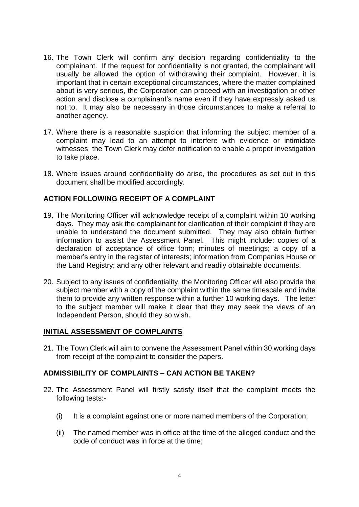- 16. The Town Clerk will confirm any decision regarding confidentiality to the complainant. If the request for confidentiality is not granted, the complainant will usually be allowed the option of withdrawing their complaint. However, it is important that in certain exceptional circumstances, where the matter complained about is very serious, the Corporation can proceed with an investigation or other action and disclose a complainant's name even if they have expressly asked us not to. It may also be necessary in those circumstances to make a referral to another agency.
- 17. Where there is a reasonable suspicion that informing the subject member of a complaint may lead to an attempt to interfere with evidence or intimidate witnesses, the Town Clerk may defer notification to enable a proper investigation to take place.
- 18. Where issues around confidentiality do arise, the procedures as set out in this document shall be modified accordingly.

# **ACTION FOLLOWING RECEIPT OF A COMPLAINT**

- 19. The Monitoring Officer will acknowledge receipt of a complaint within 10 working days. They may ask the complainant for clarification of their complaint if they are unable to understand the document submitted. They may also obtain further information to assist the Assessment Panel. This might include: copies of a declaration of acceptance of office form; minutes of meetings; a copy of a member's entry in the register of interests; information from Companies House or the Land Registry; and any other relevant and readily obtainable documents.
- 20. Subject to any issues of confidentiality, the Monitoring Officer will also provide the subject member with a copy of the complaint within the same timescale and invite them to provide any written response within a further 10 working days. The letter to the subject member will make it clear that they may seek the views of an Independent Person, should they so wish.

#### **INITIAL ASSESSMENT OF COMPLAINTS**

21. The Town Clerk will aim to convene the Assessment Panel within 30 working days from receipt of the complaint to consider the papers.

# **ADMISSIBILITY OF COMPLAINTS – CAN ACTION BE TAKEN?**

- 22. The Assessment Panel will firstly satisfy itself that the complaint meets the following tests:-
	- (i) It is a complaint against one or more named members of the Corporation;
	- (ii) The named member was in office at the time of the alleged conduct and the code of conduct was in force at the time;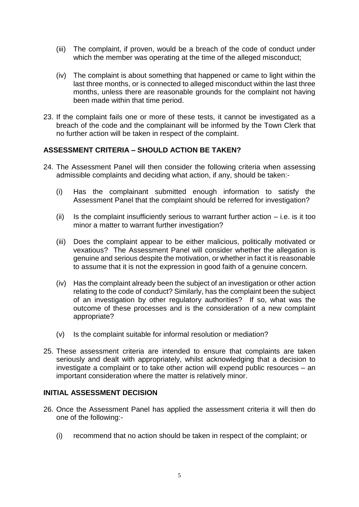- (iii) The complaint, if proven, would be a breach of the code of conduct under which the member was operating at the time of the alleged misconduct:
- (iv) The complaint is about something that happened or came to light within the last three months, or is connected to alleged misconduct within the last three months, unless there are reasonable grounds for the complaint not having been made within that time period.
- 23. If the complaint fails one or more of these tests, it cannot be investigated as a breach of the code and the complainant will be informed by the Town Clerk that no further action will be taken in respect of the complaint.

# **ASSESSMENT CRITERIA – SHOULD ACTION BE TAKEN?**

- 24. The Assessment Panel will then consider the following criteria when assessing admissible complaints and deciding what action, if any, should be taken:-
	- (i) Has the complainant submitted enough information to satisfy the Assessment Panel that the complaint should be referred for investigation?
	- (ii) Is the complaint insufficiently serious to warrant further action  $-$  i.e. is it too minor a matter to warrant further investigation?
	- (iii) Does the complaint appear to be either malicious, politically motivated or vexatious? The Assessment Panel will consider whether the allegation is genuine and serious despite the motivation, or whether in fact it is reasonable to assume that it is not the expression in good faith of a genuine concern.
	- (iv) Has the complaint already been the subject of an investigation or other action relating to the code of conduct? Similarly, has the complaint been the subject of an investigation by other regulatory authorities? If so, what was the outcome of these processes and is the consideration of a new complaint appropriate?
	- (v) Is the complaint suitable for informal resolution or mediation?
- 25. These assessment criteria are intended to ensure that complaints are taken seriously and dealt with appropriately, whilst acknowledging that a decision to investigate a complaint or to take other action will expend public resources – an important consideration where the matter is relatively minor.

## **INITIAL ASSESSMENT DECISION**

- 26. Once the Assessment Panel has applied the assessment criteria it will then do one of the following:-
	- (i) recommend that no action should be taken in respect of the complaint; or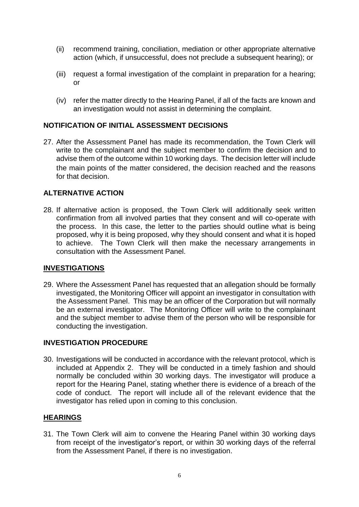- (ii) recommend training, conciliation, mediation or other appropriate alternative action (which, if unsuccessful, does not preclude a subsequent hearing); or
- (iii) request a formal investigation of the complaint in preparation for a hearing; or
- (iv) refer the matter directly to the Hearing Panel, if all of the facts are known and an investigation would not assist in determining the complaint.

# **NOTIFICATION OF INITIAL ASSESSMENT DECISIONS**

27. After the Assessment Panel has made its recommendation, the Town Clerk will write to the complainant and the subject member to confirm the decision and to advise them of the outcome within 10 working days. The decision letter will include the main points of the matter considered, the decision reached and the reasons for that decision.

#### **ALTERNATIVE ACTION**

28. If alternative action is proposed, the Town Clerk will additionally seek written confirmation from all involved parties that they consent and will co-operate with the process. In this case, the letter to the parties should outline what is being proposed, why it is being proposed, why they should consent and what it is hoped to achieve. The Town Clerk will then make the necessary arrangements in consultation with the Assessment Panel.

#### **INVESTIGATIONS**

29. Where the Assessment Panel has requested that an allegation should be formally investigated, the Monitoring Officer will appoint an investigator in consultation with the Assessment Panel. This may be an officer of the Corporation but will normally be an external investigator. The Monitoring Officer will write to the complainant and the subject member to advise them of the person who will be responsible for conducting the investigation.

#### **INVESTIGATION PROCEDURE**

30. Investigations will be conducted in accordance with the relevant protocol, which is included at Appendix 2. They will be conducted in a timely fashion and should normally be concluded within 30 working days. The investigator will produce a report for the Hearing Panel, stating whether there is evidence of a breach of the code of conduct. The report will include all of the relevant evidence that the investigator has relied upon in coming to this conclusion.

#### **HEARINGS**

31. The Town Clerk will aim to convene the Hearing Panel within 30 working days from receipt of the investigator's report, or within 30 working days of the referral from the Assessment Panel, if there is no investigation.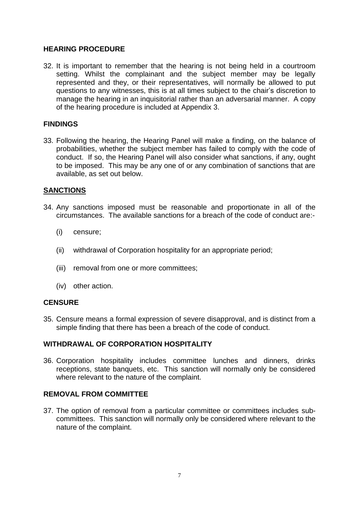# **HEARING PROCEDURE**

32. It is important to remember that the hearing is not being held in a courtroom setting. Whilst the complainant and the subject member may be legally represented and they, or their representatives, will normally be allowed to put questions to any witnesses, this is at all times subject to the chair's discretion to manage the hearing in an inquisitorial rather than an adversarial manner. A copy of the hearing procedure is included at Appendix 3.

# **FINDINGS**

33. Following the hearing, the Hearing Panel will make a finding, on the balance of probabilities, whether the subject member has failed to comply with the code of conduct. If so, the Hearing Panel will also consider what sanctions, if any, ought to be imposed. This may be any one of or any combination of sanctions that are available, as set out below.

#### **SANCTIONS**

- 34. Any sanctions imposed must be reasonable and proportionate in all of the circumstances. The available sanctions for a breach of the code of conduct are:-
	- (i) censure;
	- (ii) withdrawal of Corporation hospitality for an appropriate period;
	- (iii) removal from one or more committees;
	- (iv) other action.

# **CENSURE**

35. Censure means a formal expression of severe disapproval, and is distinct from a simple finding that there has been a breach of the code of conduct.

# **WITHDRAWAL OF CORPORATION HOSPITALITY**

36. Corporation hospitality includes committee lunches and dinners, drinks receptions, state banquets, etc. This sanction will normally only be considered where relevant to the nature of the complaint.

# **REMOVAL FROM COMMITTEE**

37. The option of removal from a particular committee or committees includes subcommittees. This sanction will normally only be considered where relevant to the nature of the complaint.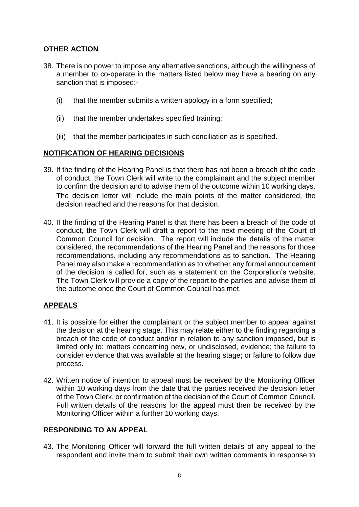# **OTHER ACTION**

- 38. There is no power to impose any alternative sanctions, although the willingness of a member to co-operate in the matters listed below may have a bearing on any sanction that is imposed:-
	- (i) that the member submits a written apology in a form specified;
	- (ii) that the member undertakes specified training;
	- (iii) that the member participates in such conciliation as is specified.

# **NOTIFICATION OF HEARING DECISIONS**

- 39. If the finding of the Hearing Panel is that there has not been a breach of the code of conduct, the Town Clerk will write to the complainant and the subject member to confirm the decision and to advise them of the outcome within 10 working days. The decision letter will include the main points of the matter considered, the decision reached and the reasons for that decision.
- 40. If the finding of the Hearing Panel is that there has been a breach of the code of conduct, the Town Clerk will draft a report to the next meeting of the Court of Common Council for decision. The report will include the details of the matter considered, the recommendations of the Hearing Panel and the reasons for those recommendations, including any recommendations as to sanction. The Hearing Panel may also make a recommendation as to whether any formal announcement of the decision is called for, such as a statement on the Corporation's website. The Town Clerk will provide a copy of the report to the parties and advise them of the outcome once the Court of Common Council has met.

# **APPEALS**

- 41. It is possible for either the complainant or the subject member to appeal against the decision at the hearing stage. This may relate either to the finding regarding a breach of the code of conduct and/or in relation to any sanction imposed, but is limited only to: matters concerning new, or undisclosed, evidence; the failure to consider evidence that was available at the hearing stage; or failure to follow due process.
- 42. Written notice of intention to appeal must be received by the Monitoring Officer within 10 working days from the date that the parties received the decision letter of the Town Clerk, or confirmation of the decision of the Court of Common Council. Full written details of the reasons for the appeal must then be received by the Monitoring Officer within a further 10 working days.

# **RESPONDING TO AN APPEAL**

43. The Monitoring Officer will forward the full written details of any appeal to the respondent and invite them to submit their own written comments in response to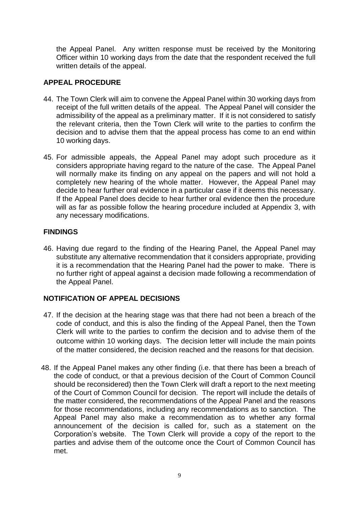the Appeal Panel. Any written response must be received by the Monitoring Officer within 10 working days from the date that the respondent received the full written details of the appeal.

# **APPEAL PROCEDURE**

- 44. The Town Clerk will aim to convene the Appeal Panel within 30 working days from receipt of the full written details of the appeal. The Appeal Panel will consider the admissibility of the appeal as a preliminary matter. If it is not considered to satisfy the relevant criteria, then the Town Clerk will write to the parties to confirm the decision and to advise them that the appeal process has come to an end within 10 working days.
- 45. For admissible appeals, the Appeal Panel may adopt such procedure as it considers appropriate having regard to the nature of the case. The Appeal Panel will normally make its finding on any appeal on the papers and will not hold a completely new hearing of the whole matter. However, the Appeal Panel may decide to hear further oral evidence in a particular case if it deems this necessary. If the Appeal Panel does decide to hear further oral evidence then the procedure will as far as possible follow the hearing procedure included at Appendix 3, with any necessary modifications.

# **FINDINGS**

46. Having due regard to the finding of the Hearing Panel, the Appeal Panel may substitute any alternative recommendation that it considers appropriate, providing it is a recommendation that the Hearing Panel had the power to make. There is no further right of appeal against a decision made following a recommendation of the Appeal Panel.

# **NOTIFICATION OF APPEAL DECISIONS**

- 47. If the decision at the hearing stage was that there had not been a breach of the code of conduct, and this is also the finding of the Appeal Panel, then the Town Clerk will write to the parties to confirm the decision and to advise them of the outcome within 10 working days. The decision letter will include the main points of the matter considered, the decision reached and the reasons for that decision.
- 48. If the Appeal Panel makes any other finding (i.e. that there has been a breach of the code of conduct, or that a previous decision of the Court of Common Council should be reconsidered) then the Town Clerk will draft a report to the next meeting of the Court of Common Council for decision. The report will include the details of the matter considered, the recommendations of the Appeal Panel and the reasons for those recommendations, including any recommendations as to sanction. The Appeal Panel may also make a recommendation as to whether any formal announcement of the decision is called for, such as a statement on the Corporation's website. The Town Clerk will provide a copy of the report to the parties and advise them of the outcome once the Court of Common Council has met.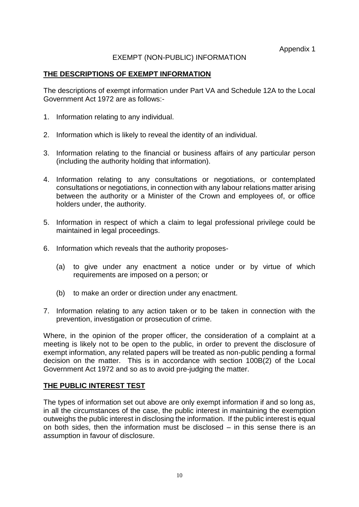# EXEMPT (NON-PUBLIC) INFORMATION

## **THE DESCRIPTIONS OF EXEMPT INFORMATION**

The descriptions of exempt information under Part VA and Schedule 12A to the Local Government Act 1972 are as follows:-

- 1. Information relating to any individual.
- 2. Information which is likely to reveal the identity of an individual.
- 3. Information relating to the financial or business affairs of any particular person (including the authority holding that information).
- 4. Information relating to any consultations or negotiations, or contemplated consultations or negotiations, in connection with any labour relations matter arising between the authority or a Minister of the Crown and employees of, or office holders under, the authority.
- 5. Information in respect of which a claim to legal professional privilege could be maintained in legal proceedings.
- 6. Information which reveals that the authority proposes-
	- (a) to give under any enactment a notice under or by virtue of which requirements are imposed on a person; or
	- (b) to make an order or direction under any enactment.
- 7. Information relating to any action taken or to be taken in connection with the prevention, investigation or prosecution of crime.

Where, in the opinion of the proper officer, the consideration of a complaint at a meeting is likely not to be open to the public, in order to prevent the disclosure of exempt information, any related papers will be treated as non-public pending a formal decision on the matter. This is in accordance with section 100B(2) of the Local Government Act 1972 and so as to avoid pre-judging the matter.

# **THE PUBLIC INTEREST TEST**

The types of information set out above are only exempt information if and so long as, in all the circumstances of the case, the public interest in maintaining the exemption outweighs the public interest in disclosing the information. If the public interest is equal on both sides, then the information must be disclosed – in this sense there is an assumption in favour of disclosure.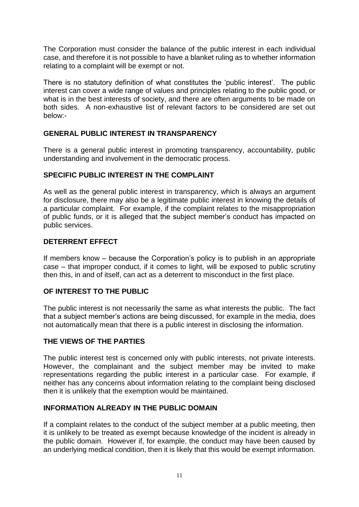The Corporation must consider the balance of the public interest in each individual case, and therefore it is not possible to have a blanket ruling as to whether information relating to a complaint will be exempt or not.

There is no statutory definition of what constitutes the 'public interest'. The public interest can cover a wide range of values and principles relating to the public good, or what is in the best interests of society, and there are often arguments to be made on both sides. A non-exhaustive list of relevant factors to be considered are set out below:-

# **GENERAL PUBLIC INTEREST IN TRANSPARENCY**

There is a general public interest in promoting transparency, accountability, public understanding and involvement in the democratic process.

# **SPECIFIC PUBLIC INTEREST IN THE COMPLAINT**

As well as the general public interest in transparency, which is always an argument for disclosure, there may also be a legitimate public interest in knowing the details of a particular complaint. For example, if the complaint relates to the misappropriation of public funds, or it is alleged that the subject member's conduct has impacted on public services.

# **DETERRENT EFFECT**

If members know – because the Corporation's policy is to publish in an appropriate case – that improper conduct, if it comes to light, will be exposed to public scrutiny then this, in and of itself, can act as a deterrent to misconduct in the first place.

# **OF INTEREST TO THE PUBLIC**

The public interest is not necessarily the same as what interests the public. The fact that a subject member's actions are being discussed, for example in the media, does not automatically mean that there is a public interest in disclosing the information.

# **THE VIEWS OF THE PARTIES**

The public interest test is concerned only with public interests, not private interests. However, the complainant and the subject member may be invited to make representations regarding the public interest in a particular case. For example, if neither has any concerns about information relating to the complaint being disclosed then it is unlikely that the exemption would be maintained.

# **INFORMATION ALREADY IN THE PUBLIC DOMAIN**

If a complaint relates to the conduct of the subject member at a public meeting, then it is unlikely to be treated as exempt because knowledge of the incident is already in the public domain. However if, for example, the conduct may have been caused by an underlying medical condition, then it is likely that this would be exempt information.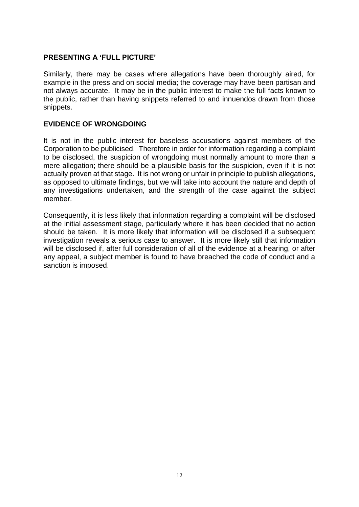# **PRESENTING A 'FULL PICTURE'**

Similarly, there may be cases where allegations have been thoroughly aired, for example in the press and on social media; the coverage may have been partisan and not always accurate. It may be in the public interest to make the full facts known to the public, rather than having snippets referred to and innuendos drawn from those snippets.

# **EVIDENCE OF WRONGDOING**

It is not in the public interest for baseless accusations against members of the Corporation to be publicised. Therefore in order for information regarding a complaint to be disclosed, the suspicion of wrongdoing must normally amount to more than a mere allegation; there should be a plausible basis for the suspicion, even if it is not actually proven at that stage. It is not wrong or unfair in principle to publish allegations, as opposed to ultimate findings, but we will take into account the nature and depth of any investigations undertaken, and the strength of the case against the subject member.

Consequently, it is less likely that information regarding a complaint will be disclosed at the initial assessment stage, particularly where it has been decided that no action should be taken. It is more likely that information will be disclosed if a subsequent investigation reveals a serious case to answer. It is more likely still that information will be disclosed if, after full consideration of all of the evidence at a hearing, or after any appeal, a subject member is found to have breached the code of conduct and a sanction is imposed.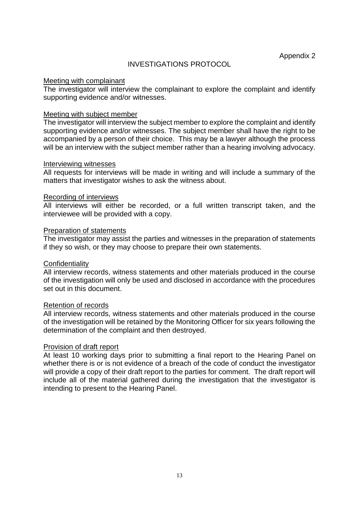## INVESTIGATIONS PROTOCOL

#### Meeting with complainant

The investigator will interview the complainant to explore the complaint and identify supporting evidence and/or witnesses.

#### Meeting with subject member

The investigator will interview the subject member to explore the complaint and identify supporting evidence and/or witnesses. The subject member shall have the right to be accompanied by a person of their choice. This may be a lawyer although the process will be an interview with the subject member rather than a hearing involving advocacy.

#### Interviewing witnesses

All requests for interviews will be made in writing and will include a summary of the matters that investigator wishes to ask the witness about.

#### Recording of interviews

All interviews will either be recorded, or a full written transcript taken, and the interviewee will be provided with a copy.

#### Preparation of statements

The investigator may assist the parties and witnesses in the preparation of statements if they so wish, or they may choose to prepare their own statements.

#### **Confidentiality**

All interview records, witness statements and other materials produced in the course of the investigation will only be used and disclosed in accordance with the procedures set out in this document.

#### Retention of records

All interview records, witness statements and other materials produced in the course of the investigation will be retained by the Monitoring Officer for six years following the determination of the complaint and then destroyed.

#### Provision of draft report

At least 10 working days prior to submitting a final report to the Hearing Panel on whether there is or is not evidence of a breach of the code of conduct the investigator will provide a copy of their draft report to the parties for comment. The draft report will include all of the material gathered during the investigation that the investigator is intending to present to the Hearing Panel.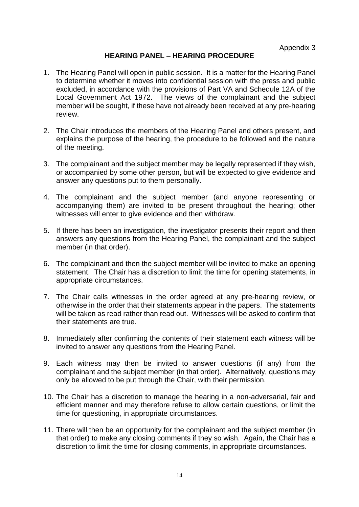# **HEARING PANEL – HEARING PROCEDURE**

- 1. The Hearing Panel will open in public session. It is a matter for the Hearing Panel to determine whether it moves into confidential session with the press and public excluded, in accordance with the provisions of Part VA and Schedule 12A of the Local Government Act 1972. The views of the complainant and the subject member will be sought, if these have not already been received at any pre-hearing review.
- 2. The Chair introduces the members of the Hearing Panel and others present, and explains the purpose of the hearing, the procedure to be followed and the nature of the meeting.
- 3. The complainant and the subject member may be legally represented if they wish, or accompanied by some other person, but will be expected to give evidence and answer any questions put to them personally.
- 4. The complainant and the subject member (and anyone representing or accompanying them) are invited to be present throughout the hearing; other witnesses will enter to give evidence and then withdraw.
- 5. If there has been an investigation, the investigator presents their report and then answers any questions from the Hearing Panel, the complainant and the subject member (in that order).
- 6. The complainant and then the subject member will be invited to make an opening statement. The Chair has a discretion to limit the time for opening statements, in appropriate circumstances.
- 7. The Chair calls witnesses in the order agreed at any pre-hearing review, or otherwise in the order that their statements appear in the papers. The statements will be taken as read rather than read out. Witnesses will be asked to confirm that their statements are true.
- 8. Immediately after confirming the contents of their statement each witness will be invited to answer any questions from the Hearing Panel.
- 9. Each witness may then be invited to answer questions (if any) from the complainant and the subject member (in that order). Alternatively, questions may only be allowed to be put through the Chair, with their permission.
- 10. The Chair has a discretion to manage the hearing in a non-adversarial, fair and efficient manner and may therefore refuse to allow certain questions, or limit the time for questioning, in appropriate circumstances.
- 11. There will then be an opportunity for the complainant and the subject member (in that order) to make any closing comments if they so wish. Again, the Chair has a discretion to limit the time for closing comments, in appropriate circumstances.